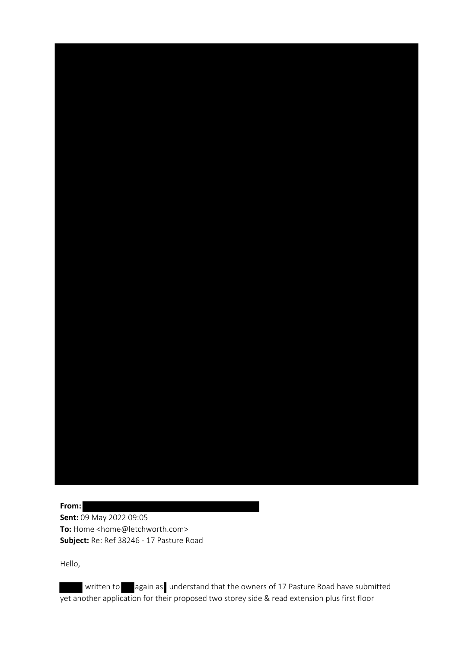

Hello,

written to again as understand that the owners of 17 Pasture Road have submitted yet another application for their proposed two storey side & read extension plus first floor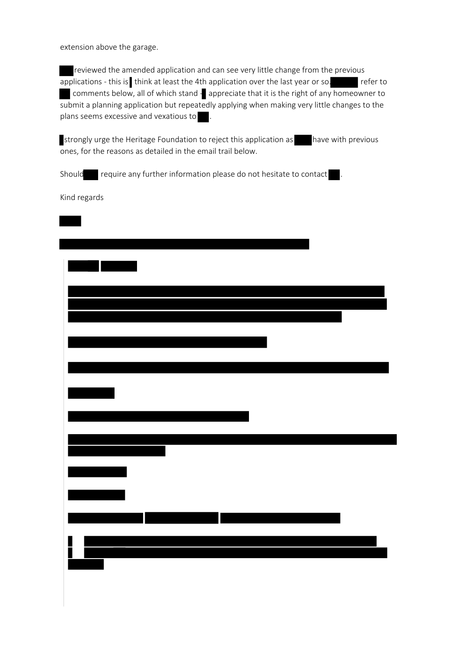extension above the garage.

reviewed the amended application and can see very little change from the previous  $\overline{\text{applications}}$  - this is think at least the 4th application over the last year or so.  $\overline{\text{r}}$  refer to comments below, all of which stand - appreciate that it is the right of any homeowner to  $\overline{\phantom{a}}$  submit a planning application but repeatedly applying when making very little changes to the plans seems excessive and vexatious to

strongly urge the Heritage Foundation to reject this application as have with previous ones, for the reasons as detailed in the email trail below.

Should require any further information please do not hesitate to contact .

Kind regards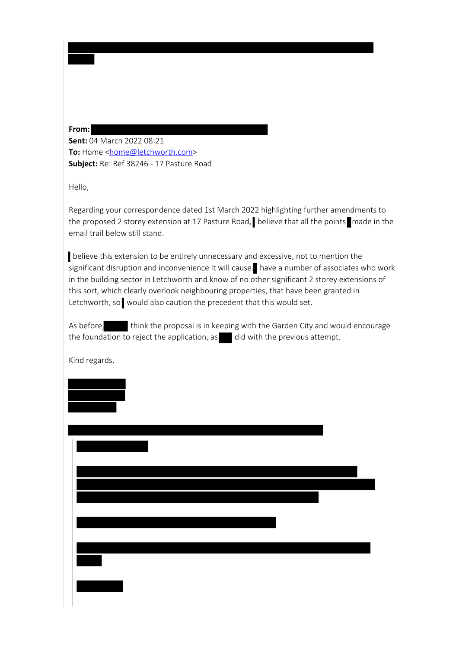## **From:**

**Sent:** 04 March 2022 08:21 **To:** Home <[home@letchworth.com>](mailto:home@letchworth.com) **Subject:** Re: Ref 38246 - 17 Pasture Road

Hello,

Regarding your correspondence dated 1st March 2022 highlighting further amendments to the proposed 2 storey extension at 17 Pasture Road, believe that all the points made in the email trail below still stand.

 believe this extension to be entirely unnecessary and excessive, not to mention the significant disruption and inconvenience it will cause. have a number of associates who work in the building sector in Letchworth and know of no other significant 2 storey extensions of this sort, which clearly overlook neighbouring properties, that have been granted in Letchworth, so would also caution the precedent that this would set.

As before, think the proposal is in keeping with the Garden City and would encourage the foundation to reject the application, as  $\blacksquare$  did with the previous attempt.

Kind regards,